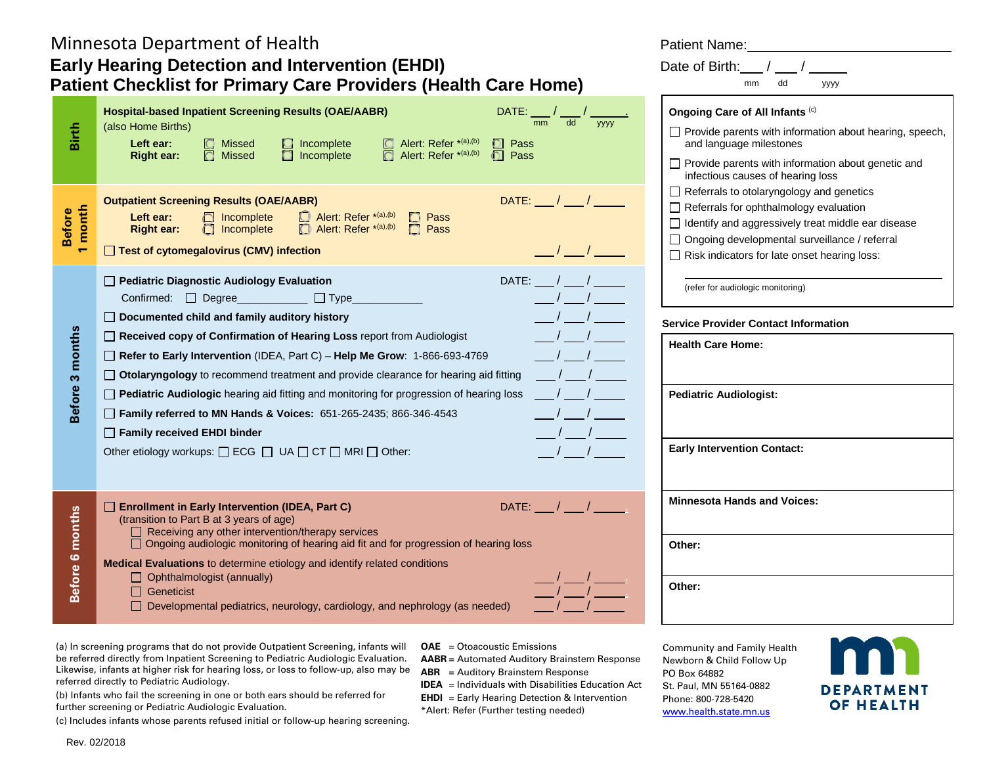# Minnesota Department of Health **Patient Accord Patient Name:** Patient Name: **Early Hearing Detection and Intervention (EHDI) Patient Checklist for Primary Care Providers (Health Care Home)**

| Birth                     | <b>Hospital-based Inpatient Screening Results (OAE/AABR)</b><br>DATE:<br>mm<br>dd<br>уууу<br>(also Home Births)<br><b>C</b> Missed<br>$\Box$ Alert: Refer *(a),(b)<br>Left ear:<br>$\Box$ Incomplete<br>$\Box$ Pass<br>$\Box$ Incomplete<br>Alert: Refer *(a),(b)<br>$\Box$ Pass<br><b>O</b> Missed<br>$\bigcap$<br><b>Right ear:</b>                                                                                                                                                                                                                                                                                                                                                                                                                                                                                               | Ongoing Care of All Infants (c)<br>□ Provide parents with information about hearing, speech,<br>and language milestones<br>$\Box$ Provide parents with information about genetic and<br>infectious causes of hearing loss                                        |
|---------------------------|-------------------------------------------------------------------------------------------------------------------------------------------------------------------------------------------------------------------------------------------------------------------------------------------------------------------------------------------------------------------------------------------------------------------------------------------------------------------------------------------------------------------------------------------------------------------------------------------------------------------------------------------------------------------------------------------------------------------------------------------------------------------------------------------------------------------------------------|------------------------------------------------------------------------------------------------------------------------------------------------------------------------------------------------------------------------------------------------------------------|
| month<br><b>Before</b>    | $\mathsf{DATE:}\_\_\_\/\_\_\_\/\_\_\$<br><b>Outpatient Screening Results (OAE/AABR)</b><br>Alert: Refer *(a),(b)<br>Left ear:<br>ncomplete<br>$\Box$ Pass<br>Alert: Refer *(a),(b)<br>$\Box$ Pass<br>Incomplete<br><b>Right ear:</b><br>$\frac{1}{2}$<br>□ Test of cytomegalovirus (CMV) infection                                                                                                                                                                                                                                                                                                                                                                                                                                                                                                                                  | $\Box$ Referrals to otolaryngology and genetics<br>Referrals for ophthalmology evaluation<br>$\Box$ Identify and aggressively treat middle ear disease<br>□ Ongoing developmental surveillance / referral<br>$\Box$ Risk indicators for late onset hearing loss: |
|                           | □ Pediatric Diagnostic Audiology Evaluation<br>DATE: $\frac{1}{2}$<br>$\frac{1}{2}$<br>Confirmed: □ Degree___________ □ Type_<br>$\Box$ Documented child and family auditory history                                                                                                                                                                                                                                                                                                                                                                                                                                                                                                                                                                                                                                                | (refer for audiologic monitoring)<br><b>Service Provider Contact Information</b>                                                                                                                                                                                 |
| 3 months<br><b>Before</b> | Received copy of Confirmation of Hearing Loss report from Audiologist<br>Refer to Early Intervention (IDEA, Part C) - Help Me Grow: 1-866-693-4769<br>$\frac{1}{2}$<br>□ Otolaryngology to recommend treatment and provide clearance for hearing aid fitting                                                                                                                                                                                                                                                                                                                                                                                                                                                                                                                                                                        | <b>Health Care Home:</b>                                                                                                                                                                                                                                         |
|                           | $\frac{1}{2}$<br>□ Pediatric Audiologic hearing aid fitting and monitoring for progression of hearing loss<br>$\frac{1}{\sqrt{1-\frac{1}{2}}}$<br>Family referred to MN Hands & Voices: 651-265-2435; 866-346-4543<br>$\frac{1}{2}$<br>$\Box$ Family received EHDI binder                                                                                                                                                                                                                                                                                                                                                                                                                                                                                                                                                           | <b>Pediatric Audiologist:</b>                                                                                                                                                                                                                                    |
|                           | $\sqrt{1}$<br>Other etiology workups: $\Box$ ECG $\Box$ UA $\Box$ CT $\Box$ MRI $\Box$ Other:                                                                                                                                                                                                                                                                                                                                                                                                                                                                                                                                                                                                                                                                                                                                       | <b>Early Intervention Contact:</b>                                                                                                                                                                                                                               |
| months                    | □ Enrollment in Early Intervention (IDEA, Part C)<br>(transition to Part B at 3 years of age)<br>$\Box$ Receiving any other intervention/therapy services                                                                                                                                                                                                                                                                                                                                                                                                                                                                                                                                                                                                                                                                           | <b>Minnesota Hands and Voices:</b>                                                                                                                                                                                                                               |
| Before 6                  | □ Ongoing audiologic monitoring of hearing aid fit and for progression of hearing loss<br>Medical Evaluations to determine etiology and identify related conditions<br>$\Box$ Ophthalmologist (annually)                                                                                                                                                                                                                                                                                                                                                                                                                                                                                                                                                                                                                            | Other:                                                                                                                                                                                                                                                           |
|                           | $\Box$ Geneticist<br>$\Box$ Developmental pediatrics, neurology, cardiology, and nephrology (as needed)                                                                                                                                                                                                                                                                                                                                                                                                                                                                                                                                                                                                                                                                                                                             | Other:                                                                                                                                                                                                                                                           |
| Rev. 02/2018              | (a) In screening programs that do not provide Outpatient Screening, infants will OAE = Otoacoustic Emissions<br>be referred directly from Inpatient Screening to Pediatric Audiologic Evaluation.<br><b>AABR</b> = Automated Auditory Brainstem Response<br>Likewise, infants at higher risk for hearing loss, or loss to follow-up, also may be<br>$ABR =$ Auditory Brainstem Response<br>referred directly to Pediatric Audiology.<br><b>IDEA</b> = Individuals with Disabilities Education Act<br>(b) Infants who fail the screening in one or both ears should be referred for<br><b>EHDI</b> = Early Hearing Detection & Intervention<br>further screening or Pediatric Audiologic Evaluation.<br>*Alert: Refer (Further testing needed)<br>(c) Includes infants whose parents refused initial or follow-up hearing screening. | Community and Family Health<br>Newborn & Child Follow Up<br>PO Box 64882<br>St. Paul, MN 55164-0882<br><b>DEPARTMENT</b><br>Phone: 800-728-5420<br><b>OF HEALTH</b><br>www.health.state.mn.us                                                                    |

Date of Birth:  $/$   $/$   $/$ 

mm dd yyyy